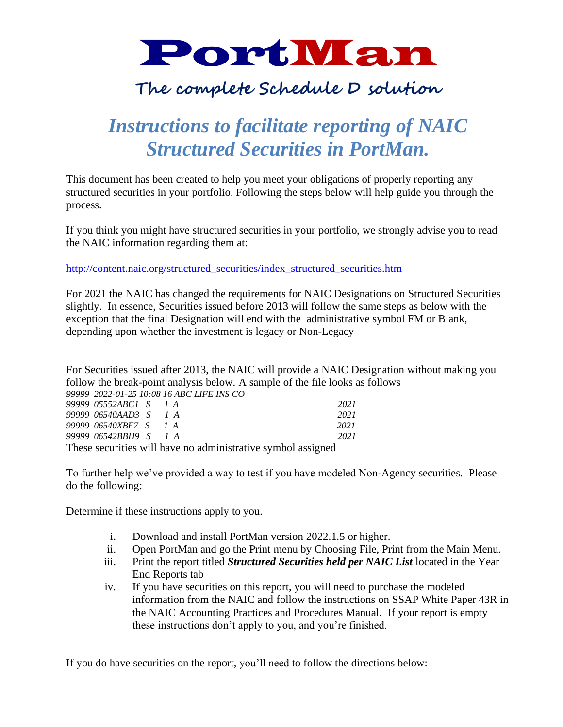

## **The complete Schedule D solution**

## *Instructions to facilitate reporting of NAIC Structured Securities in PortMan.*

This document has been created to help you meet your obligations of properly reporting any structured securities in your portfolio. Following the steps below will help guide you through the process.

If you think you might have structured securities in your portfolio, we strongly advise you to read the NAIC information regarding them at:

[http://content.naic.org/structured\\_securities/index\\_structured\\_securities.htm](http://content.naic.org/structured_securities/index_structured_securities.htm)

For 2021 the NAIC has changed the requirements for NAIC Designations on Structured Securities slightly. In essence, Securities issued before 2013 will follow the same steps as below with the exception that the final Designation will end with the administrative symbol FM or Blank, depending upon whether the investment is legacy or Non-Legacy

For Securities issued after 2013, the NAIC will provide a NAIC Designation without making you follow the break-point analysis below. A sample of the file looks as follows *99999 2022-01-25 10:08 16 ABC LIFE INS CO* 

| 99999 06542BBH9 S 1 A |  |                                                   |  | 2021 |
|-----------------------|--|---------------------------------------------------|--|------|
| 99999 06540XBF7 S 1 A |  |                                                   |  | 2021 |
| 99999 06540AAD3 S 1 A |  |                                                   |  | 2021 |
| 99999 05552ABC1 S 1 A |  |                                                   |  | 2021 |
|                       |  | $99999$ $2022 - 01 - 25$ 10.00 10 ADC LIFE INS CO |  |      |

These securities will have no administrative symbol assigned

To further help we've provided a way to test if you have modeled Non-Agency securities. Please do the following:

Determine if these instructions apply to you.

- i. Download and install PortMan version 2022.1.5 or higher.
- ii. Open PortMan and go the Print menu by Choosing File, Print from the Main Menu.
- iii. Print the report titled *Structured Securities held per NAIC List* located in the Year End Reports tab
- iv. If you have securities on this report, you will need to purchase the modeled information from the NAIC and follow the instructions on SSAP White Paper 43R in the NAIC Accounting Practices and Procedures Manual. If your report is empty these instructions don't apply to you, and you're finished.

If you do have securities on the report, you'll need to follow the directions below: